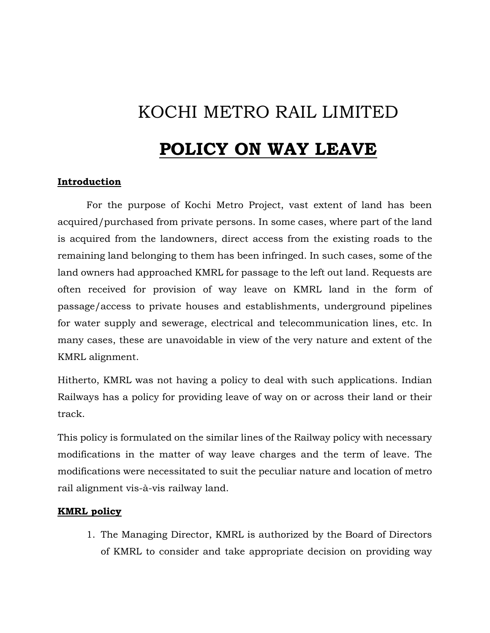## KOCHI METRO RAIL LIMITED

## **POLICY ON WAY LEAVE**

## **Introduction**

For the purpose of Kochi Metro Project, vast extent of land has been acquired/purchased from private persons. In some cases, where part of the land is acquired from the landowners, direct access from the existing roads to the remaining land belonging to them has been infringed. In such cases, some of the land owners had approached KMRL for passage to the left out land. Requests are often received for provision of way leave on KMRL land in the form of passage/access to private houses and establishments, underground pipelines for water supply and sewerage, electrical and telecommunication lines, etc. In many cases, these are unavoidable in view of the very nature and extent of the KMRL alignment.

Hitherto, KMRL was not having a policy to deal with such applications. Indian Railways has a policy for providing leave of way on or across their land or their track.

This policy is formulated on the similar lines of the Railway policy with necessary modifications in the matter of way leave charges and the term of leave. The modifications were necessitated to suit the peculiar nature and location of metro rail alignment vis-à-vis railway land.

## **KMRL policy**

1. The Managing Director, KMRL is authorized by the Board of Directors of KMRL to consider and take appropriate decision on providing way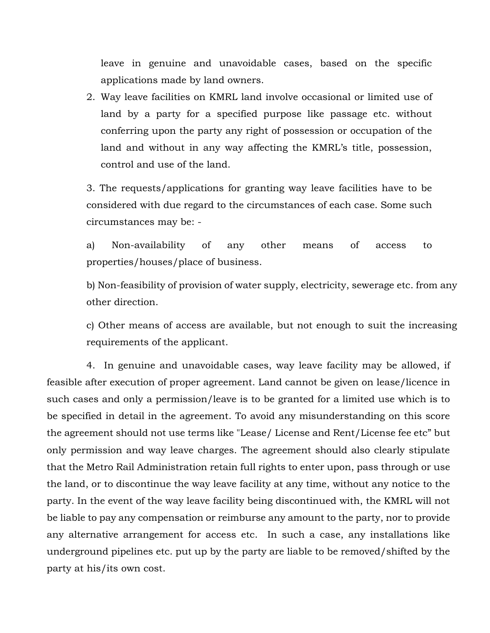leave in genuine and unavoidable cases, based on the specific applications made by land owners.

2. Way leave facilities on KMRL land involve occasional or limited use of land by a party for a specified purpose like passage etc. without conferring upon the party any right of possession or occupation of the land and without in any way affecting the KMRL's title, possession, control and use of the land.

3. The requests/applications for granting way leave facilities have to be considered with due regard to the circumstances of each case. Some such circumstances may be: -

a) Non-availability of any other means of access to properties/houses/place of business.

b) Non-feasibility of provision of water supply, electricity, sewerage etc. from any other direction.

c) Other means of access are available, but not enough to suit the increasing requirements of the applicant.

4. In genuine and unavoidable cases, way leave facility may be allowed, if feasible after execution of proper agreement. Land cannot be given on lease/licence in such cases and only a permission/leave is to be granted for a limited use which is to be specified in detail in the agreement. To avoid any misunderstanding on this score the agreement should not use terms like "Lease/ License and Rent/License fee etc" but only permission and way leave charges. The agreement should also clearly stipulate that the Metro Rail Administration retain full rights to enter upon, pass through or use the land, or to discontinue the way leave facility at any time, without any notice to the party. In the event of the way leave facility being discontinued with, the KMRL will not be liable to pay any compensation or reimburse any amount to the party, nor to provide any alternative arrangement for access etc. In such a case, any installations like underground pipelines etc. put up by the party are liable to be removed/shifted by the party at his/its own cost.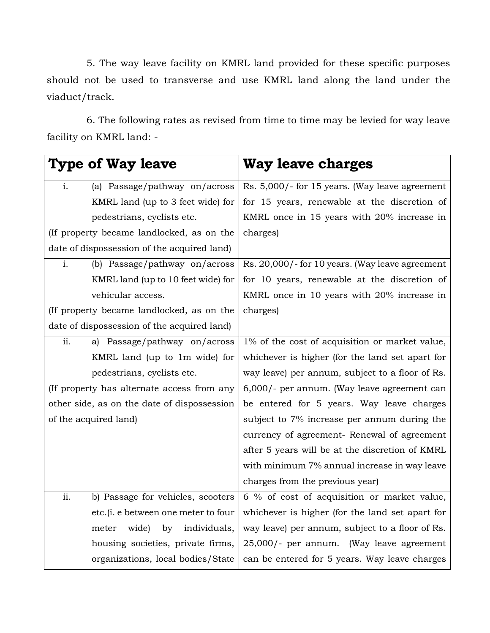5. The way leave facility on KMRL land provided for these specific purposes should not be used to transverse and use KMRL land along the land under the viaduct/track.

6. The following rates as revised from time to time may be levied for way leave facility on KMRL land: -

| <b>Type of Way leave</b>                               | <b>Way leave charges</b>                        |
|--------------------------------------------------------|-------------------------------------------------|
| (a) Passage/pathway on/across<br>i.                    | Rs. 5,000/- for 15 years. (Way leave agreement  |
| KMRL land (up to 3 feet wide) for                      | for 15 years, renewable at the discretion of    |
| pedestrians, cyclists etc.                             | KMRL once in 15 years with 20% increase in      |
| (If property became landlocked, as on the              | charges)                                        |
| date of dispossession of the acquired land)            |                                                 |
| $\mathbf{i}$ .<br>(b) Passage/pathway on/across        | Rs. 20,000/- for 10 years. (Way leave agreement |
| KMRL land (up to 10 feet wide) for                     | for 10 years, renewable at the discretion of    |
| vehicular access.                                      | KMRL once in 10 years with 20% increase in      |
| (If property became landlocked, as on the              | charges)                                        |
| date of dispossession of the acquired land)            |                                                 |
| ii.<br>a) Passage/pathway on/across                    | 1% of the cost of acquisition or market value,  |
| KMRL land (up to 1m wide) for                          | whichever is higher (for the land set apart for |
| pedestrians, cyclists etc.                             | way leave) per annum, subject to a floor of Rs. |
| (If property has alternate access from any             | 6,000/- per annum. (Way leave agreement can     |
| other side, as on the date of dispossession            | be entered for 5 years. Way leave charges       |
| of the acquired land)                                  | subject to 7% increase per annum during the     |
|                                                        | currency of agreement- Renewal of agreement     |
|                                                        | after 5 years will be at the discretion of KMRL |
|                                                        | with minimum 7% annual increase in way leave    |
|                                                        | charges from the previous year)                 |
| $\overline{ii}$ .<br>b) Passage for vehicles, scooters | 6 % of cost of acquisition or market value,     |
| etc.(i. e between one meter to four                    | whichever is higher (for the land set apart for |
| wide)<br>by<br>individuals,<br>meter                   | way leave) per annum, subject to a floor of Rs. |
| housing societies, private firms,                      | 25,000/- per annum. (Way leave agreement        |
| organizations, local bodies/State                      | can be entered for 5 years. Way leave charges   |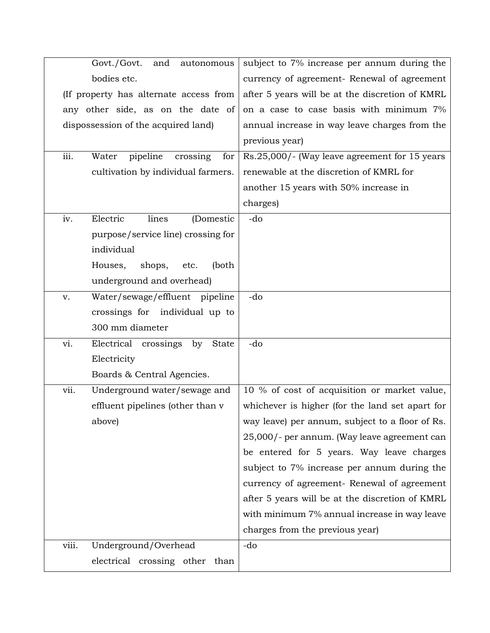| Govt./Govt.<br>and<br>autonomous                  | subject to 7% increase per annum during the     |
|---------------------------------------------------|-------------------------------------------------|
| bodies etc.                                       | currency of agreement- Renewal of agreement     |
| (If property has alternate access from            | after 5 years will be at the discretion of KMRL |
| any other side, as on the date of                 | on a case to case basis with minimum 7%         |
| dispossession of the acquired land)               | annual increase in way leave charges from the   |
|                                                   | previous year)                                  |
| iii.<br>pipeline<br>Water<br>for<br>crossing      | Rs.25,000/- (Way leave agreement for 15 years   |
| cultivation by individual farmers.                | renewable at the discretion of KMRL for         |
|                                                   | another 15 years with 50% increase in           |
|                                                   | charges)                                        |
| Electric<br>iv.<br>lines<br>(Domestic             | -do                                             |
| purpose/service line) crossing for                |                                                 |
| individual                                        |                                                 |
| shops,<br>(both<br>Houses,<br>etc.                |                                                 |
| underground and overhead)                         |                                                 |
| Water/sewage/effluent pipeline<br>v.              | -do                                             |
| crossings for individual up to                    |                                                 |
| 300 mm diameter                                   |                                                 |
| vi.<br>Electrical crossings<br>by<br><b>State</b> | -do                                             |
| Electricity                                       |                                                 |
| Boards & Central Agencies.                        |                                                 |
| vii.<br>Underground water/sewage and              | 10 % of cost of acquisition or market value,    |
| effluent pipelines (other than v                  | whichever is higher (for the land set apart for |
| above)                                            | way leave) per annum, subject to a floor of Rs. |
|                                                   | 25,000/- per annum. (Way leave agreement can    |
|                                                   | be entered for 5 years. Way leave charges       |
|                                                   | subject to 7% increase per annum during the     |
|                                                   | currency of agreement- Renewal of agreement     |
|                                                   | after 5 years will be at the discretion of KMRL |
|                                                   | with minimum 7% annual increase in way leave    |
|                                                   | charges from the previous year)                 |
| viii.<br>Underground/Overhead                     | -do                                             |
| electrical crossing other than                    |                                                 |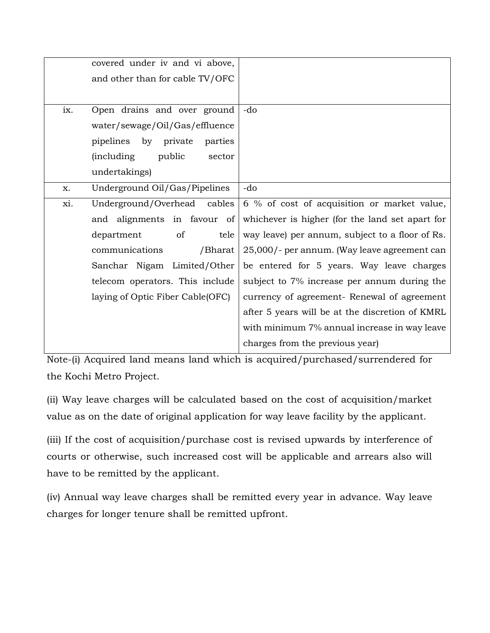|     | covered under iv and vi above,         |                                                 |
|-----|----------------------------------------|-------------------------------------------------|
|     | and other than for cable TV/OFC        |                                                 |
|     |                                        |                                                 |
| ix. | Open drains and over ground            | -do                                             |
|     | water/sewage/Oil/Gas/effluence         |                                                 |
|     | pipelines by private<br>parties        |                                                 |
|     | <i>(including)</i><br>public<br>sector |                                                 |
|     | undertakings)                          |                                                 |
| X.  | Underground Oil/Gas/Pipelines          | -do                                             |
| xi. | Underground/Overhead cables            | 6 % of cost of acquisition or market value,     |
|     | and alignments in favour of            | whichever is higher (for the land set apart for |
|     | of<br>tele<br>department               | way leave) per annum, subject to a floor of Rs. |
|     | communications<br>/Bharat              | 25,000/- per annum. (Way leave agreement can    |
|     | Sanchar Nigam Limited/Other            | be entered for 5 years. Way leave charges       |
|     | telecom operators. This include        | subject to 7% increase per annum during the     |
|     | laying of Optic Fiber Cable(OFC)       | currency of agreement- Renewal of agreement     |
|     |                                        | after 5 years will be at the discretion of KMRL |
|     |                                        | with minimum 7% annual increase in way leave    |
|     |                                        | charges from the previous year)                 |

Note-(i) Acquired land means land which is acquired/purchased/surrendered for the Kochi Metro Project.

(ii) Way leave charges will be calculated based on the cost of acquisition/market value as on the date of original application for way leave facility by the applicant.

(iii) If the cost of acquisition/purchase cost is revised upwards by interference of courts or otherwise, such increased cost will be applicable and arrears also will have to be remitted by the applicant.

(iv) Annual way leave charges shall be remitted every year in advance. Way leave charges for longer tenure shall be remitted upfront.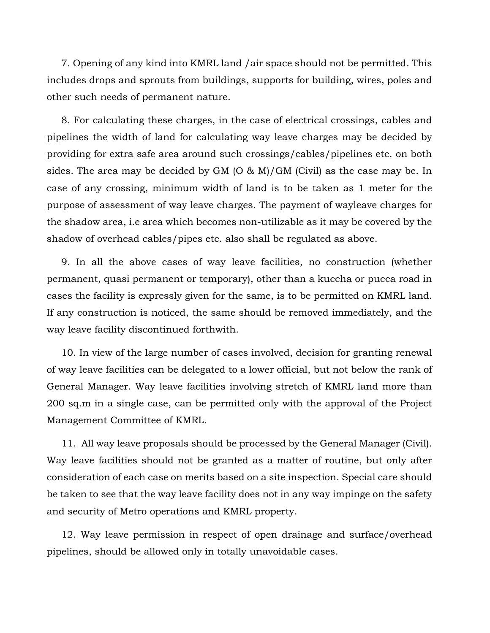7. Opening of any kind into KMRL land /air space should not be permitted. This includes drops and sprouts from buildings, supports for building, wires, poles and other such needs of permanent nature.

8. For calculating these charges, in the case of electrical crossings, cables and pipelines the width of land for calculating way leave charges may be decided by providing for extra safe area around such crossings/cables/pipelines etc. on both sides. The area may be decided by GM (O & M)/GM (Civil) as the case may be. In case of any crossing, minimum width of land is to be taken as 1 meter for the purpose of assessment of way leave charges. The payment of wayleave charges for the shadow area, i.e area which becomes non-utilizable as it may be covered by the shadow of overhead cables/pipes etc. also shall be regulated as above.

9. In all the above cases of way leave facilities, no construction (whether permanent, quasi permanent or temporary), other than a kuccha or pucca road in cases the facility is expressly given for the same, is to be permitted on KMRL land. If any construction is noticed, the same should be removed immediately, and the way leave facility discontinued forthwith.

10. In view of the large number of cases involved, decision for granting renewal of way leave facilities can be delegated to a lower official, but not below the rank of General Manager. Way leave facilities involving stretch of KMRL land more than 200 sq.m in a single case, can be permitted only with the approval of the Project Management Committee of KMRL.

11. All way leave proposals should be processed by the General Manager (Civil). Way leave facilities should not be granted as a matter of routine, but only after consideration of each case on merits based on a site inspection. Special care should be taken to see that the way leave facility does not in any way impinge on the safety and security of Metro operations and KMRL property.

12. Way leave permission in respect of open drainage and surface/overhead pipelines, should be allowed only in totally unavoidable cases.